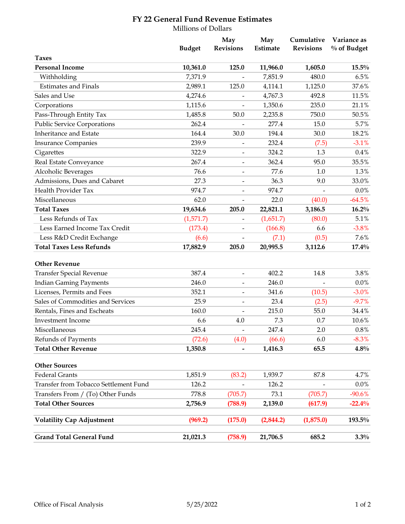## **FY 22 General Fund Revenue Estimates**

|                                       | Millions of Dollars |                              |                 |                                |                            |  |  |
|---------------------------------------|---------------------|------------------------------|-----------------|--------------------------------|----------------------------|--|--|
|                                       | <b>Budget</b>       | May<br><b>Revisions</b>      | May<br>Estimate | Cumulative<br><b>Revisions</b> | Variance as<br>% of Budget |  |  |
| <b>Taxes</b>                          |                     |                              |                 |                                |                            |  |  |
| <b>Personal Income</b>                | 10,361.0            | 125.0                        | 11,966.0        | 1,605.0                        | $15.5\%$                   |  |  |
| Withholding                           | 7,371.9             |                              | 7,851.9         | 480.0                          | 6.5%                       |  |  |
| <b>Estimates and Finals</b>           | 2,989.1             | 125.0                        | 4,114.1         | 1,125.0                        | 37.6%                      |  |  |
| Sales and Use                         | 4,274.6             |                              | 4,767.3         | 492.8                          | 11.5%                      |  |  |
| Corporations                          | 1,115.6             |                              | 1,350.6         | 235.0                          | 21.1%                      |  |  |
| Pass-Through Entity Tax               | 1,485.8             | 50.0                         | 2,235.8         | 750.0                          | 50.5%                      |  |  |
| <b>Public Service Corporations</b>    | 262.4               |                              | 277.4           | 15.0                           | 5.7%                       |  |  |
| Inheritance and Estate                | 164.4               | 30.0                         | 194.4           | 30.0                           | 18.2%                      |  |  |
| <b>Insurance Companies</b>            | 239.9               |                              | 232.4           | (7.5)                          | $-3.1%$                    |  |  |
| Cigarettes                            | 322.9               | $\overline{\phantom{a}}$     | 324.2           | 1.3                            | 0.4%                       |  |  |
| Real Estate Conveyance                | 267.4               | $\blacksquare$               | 362.4           | 95.0                           | 35.5%                      |  |  |
| Alcoholic Beverages                   | 76.6                |                              | 77.6            | 1.0                            | 1.3%                       |  |  |
| Admissions, Dues and Cabaret          | 27.3                | $\overline{\phantom{a}}$     | 36.3            | 9.0                            | 33.0%                      |  |  |
| Health Provider Tax                   | 974.7               | $\overline{\phantom{a}}$     | 974.7           | $\overline{\phantom{a}}$       | 0.0%                       |  |  |
| Miscellaneous                         | 62.0                |                              | 22.0            | (40.0)                         | $-64.5%$                   |  |  |
| <b>Total Taxes</b>                    | 19,634.6            | 205.0                        | 22,821.1        | 3,186.5                        | $16.2\%$                   |  |  |
| Less Refunds of Tax                   | (1,571.7)           |                              | (1,651.7)       | (80.0)                         | 5.1%                       |  |  |
| Less Earned Income Tax Credit         | (173.4)             |                              | (166.8)         | 6.6                            | $-3.8%$                    |  |  |
| Less R&D Credit Exchange              | (6.6)               | $\blacksquare$               | (7.1)           | (0.5)                          | 7.6%                       |  |  |
| <b>Total Taxes Less Refunds</b>       | 17,882.9            | 205.0                        | 20,995.5        | 3,112.6                        | $17.4\%$                   |  |  |
| <b>Other Revenue</b>                  |                     |                              |                 |                                |                            |  |  |
| <b>Transfer Special Revenue</b>       | 387.4               | $\blacksquare$               | 402.2           | 14.8                           | 3.8%                       |  |  |
| <b>Indian Gaming Payments</b>         | 246.0               |                              | 246.0           |                                | 0.0%                       |  |  |
| Licenses, Permits and Fees            | 352.1               |                              | 341.6           | (10.5)                         | $-3.0%$                    |  |  |
| Sales of Commodities and Services     | 25.9                | $\overline{\phantom{a}}$     | 23.4            | (2.5)                          | $-9.7%$                    |  |  |
| Rentals, Fines and Escheats           | 160.0               | $\qquad \qquad \blacksquare$ | 215.0           | 55.0                           | 34.4%                      |  |  |
| Investment Income                     | 6.6                 | 4.0                          | 7.3             | 0.7                            | 10.6%                      |  |  |
| Miscellaneous                         | 245.4               | $\blacksquare$               | 247.4           | 2.0                            | $0.8\%$                    |  |  |
| Refunds of Payments                   | (72.6)              | (4.0)                        | (66.6)          | $6.0$                          | $-8.3\%$                   |  |  |
| <b>Total Other Revenue</b>            | 1,350.8             | $\qquad \qquad \blacksquare$ | 1,416.3         | 65.5                           | $4.8\%$                    |  |  |
| <b>Other Sources</b>                  |                     |                              |                 |                                |                            |  |  |
| <b>Federal Grants</b>                 | 1,851.9             | (83.2)                       | 1,939.7         | 87.8                           | 4.7%                       |  |  |
| Transfer from Tobacco Settlement Fund | 126.2               |                              | 126.2           |                                | $0.0\%$                    |  |  |
| Transfers From / (To) Other Funds     | 778.8               | (705.7)                      | 73.1            | (705.7)                        | $-90.6%$                   |  |  |
| <b>Total Other Sources</b>            | 2,756.9             | (788.9)                      | 2,139.0         | (617.9)                        | $-22.4%$                   |  |  |
| <b>Volatility Cap Adjustment</b>      | (969.2)             | (175.0)                      | (2,844.2)       | (1,875.0)                      | 193.5%                     |  |  |
| <b>Grand Total General Fund</b>       | 21,021.3            | (758.9)                      | 21,706.5        | 685.2                          | 3.3%                       |  |  |